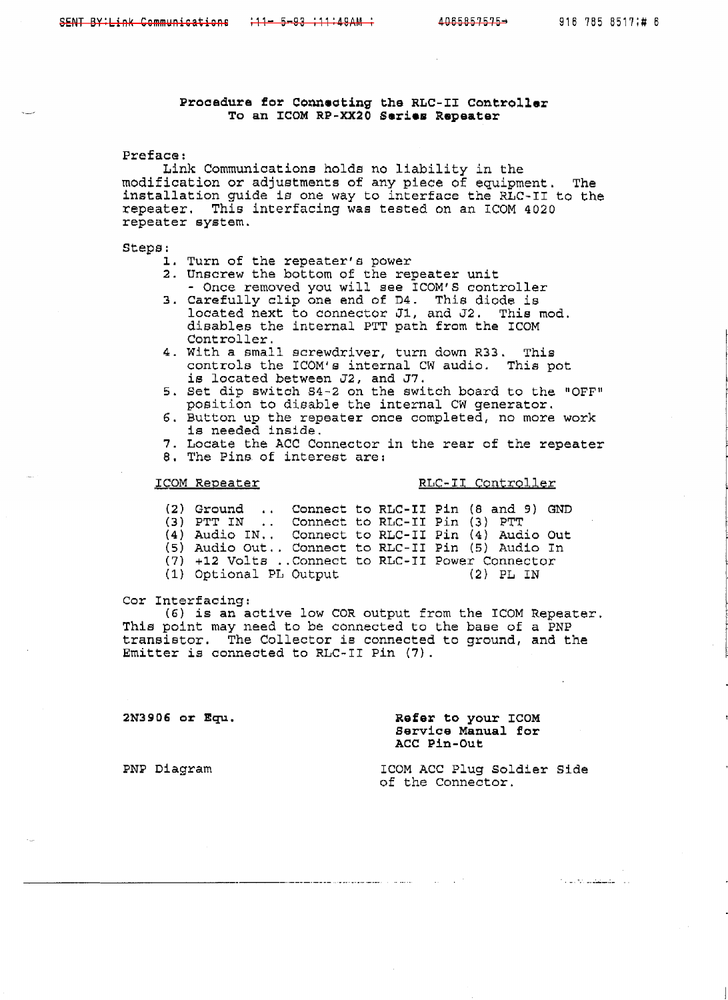# **Procedure for Connecting the RLC-II Controller To an ICOM RP-XX2O Sarias Regeater**

## Preface :

**Link** Communications **holds** no liability in the **modificaLion or** adjustments **of any** piece of equipment. The installation guide is **one** way to interface the RLC-I1 to the repeater. This interfacing was **tested on an ICOM** 4020 repeater sygtem.

### **Steps:**

- **1.**  Turn of the repeater's power
- **2.**  Unscrew the bottom of the repeater unit - Once removed you will **see TCOM'S** controller
- Carefully clip one end of D4. This diode is located next to connector J1, and J2. This mod. disables the internal PTT path from the ICOM Controller.
- With a small screwdriver, turn down R33. This controls the ICOM's internal CW audio. This pot is located between **J2,** and **J7.**
- Set dip switch S4-2 on the switch board to the **"OFFu**  position to disable the internal **CW** generator.
- 6. Button up the repeater once completed, no more work is needed inside.
- Locate the **ACC** Connector in the rear of the repeater
- 8. The Pins of interest are:

## **ICOM** Repeater RLC-IT Controller

**(2** 1 Ground . , Connect **to** RLC- I **I** Pin **(8** and 9) **GND (3)** PTT IN . . Connect **to** RLC-I1 Pin (3) PTT **(4)** Audio IN.. Connect to **RLC-I1** Pin (4) Audio Out (5) Audio Out.. Connect to RLC-II Pin (5) Audio In (7) +12 Volts ..Connect to RLC-I1 Power Connector (1) Optional PL Output **(2)** PL IN

### Cor Interfacing:

**(6)** is an active low COR output from the ICOM Repeater. This point may need to be connected to the base of a PNP transistor. The Collector is connected to ground, and the Emitter is connected to RLC-I1 Pin **(7).** 

**2N3906 or Equ.** 

**Refer to your ICOM**  Bervice **Manual** for ACC **Pin-Out** 

**PNP** Diagram

ICOM ACC Plug Soldier Side of the Connector.